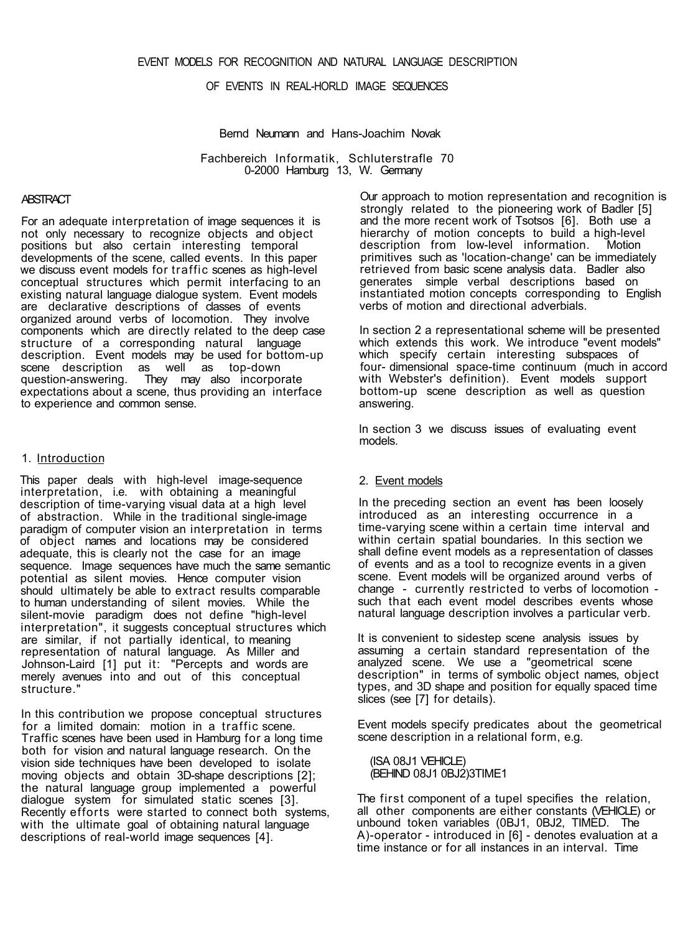# OF EVENTS IN REAL-HORLD IMAGE SEQUENCES

Bernd Neumann and Hans-Joachim Novak

Fachbereich Informatik, Schluterstrafle 70 0-2000 Hamburg 13, W. Germany

#### **ARSTRACT**

For an adequate interpretation of image sequences it is not only necessary to recognize objects and object positions but also certain interesting temporal developments of the scene, called events. In this paper we discuss event models for traffic scenes as high-level conceptual structures which permit interfacing to an existing natural language dialogue system. Event models are declarative descriptions of classes of events organized around verbs of locomotion. They involve components which are directly related to the deep case structure of a corresponding natural language description. Event models may be used for bottom-up scene description as well as top-down<br>question-answering. They may also incorpor They may also incorporate expectations about a scene, thus providing an interface to experience and common sense.

### 1. Introduction

This paper deals with high-level image-sequence interpretation, i.e. with obtaining a meaningful description of time-varying visual data at a high level of abstraction. While in the traditional single-image paradigm of computer vision an interpretation in terms of object names and locations may be considered adequate, this is clearly not the case for an image sequence. Image sequences have much the same semantic potential as silent movies. Hence computer vision should ultimately be able to extract results comparable to human understanding of silent movies. While the silent-movie paradigm does not define "high-level interpretation", it suggests conceptual structures which are similar, if not partially identical, to meaning representation of natural language. As Miller and Johnson-Laird [1] put it: "Percepts and words are merely avenues into and out of this conceptual structure."

In this contribution we propose conceptual structures for a limited domain: motion in a traffic scene. Traffic scenes have been used in Hamburg for a long time both for vision and natural language research. On the vision side techniques have been developed to isolate moving objects and obtain 3D-shape descriptions [2]; the natural language group implemented a powerful dialogue system for simulated static scenes [3]. Recently efforts were started to connect both systems, with the ultimate goal of obtaining natural language descriptions of real-world image sequences [4].

Our approach to motion representation and recognition is strongly related to the pioneering work of Badler [5] and the more recent work of Tsotsos [6]. Both use a hierarchy of motion concepts to build a high-level description from low-level information. Motion primitives such as 'location-change' can be immediately retrieved from basic scene analysis data. Badler also generates simple verbal descriptions based on instantiated motion concepts corresponding to English verbs of motion and directional adverbials.

In section 2 a representational scheme will be presented which extends this work. We introduce "event models" which specify certain interesting subspaces of four- dimensional space-time continuum (much in accord with Webster's definition). Event models support bottom-up scene description as well as question answering.

In section 3 we discuss issues of evaluating event models.

## 2. Event models

In the preceding section an event has been loosely introduced as an interesting occurrence in a time-varying scene within a certain time interval and within certain spatial boundaries. In this section we shall define event models as a representation of classes of events and as a tool to recognize events in a given scene. Event models will be organized around verbs of change - currently restricted to verbs of locomotion such that each event model describes events whose natural language description involves a particular verb.

It is convenient to sidestep scene analysis issues by assuming a certain standard representation of the analyzed scene. We use a "geometrical scene description" in terms of symbolic object names, object types, and 3D shape and position for equally spaced time slices (see [7] for details).

Event models specify predicates about the geometrical scene description in a relational form, e.g.

(ISA 08J1 VEHICLE) (BEHIND 08J1 0BJ2)3TIME1

The first component of a tupel specifies the relation, all other components are either constants (VEHICLE) or unbound token variables (0BJ1, 0BJ2, TIMED. The A)-operator - introduced in [6] - denotes evaluation at a time instance or for all instances in an interval. Time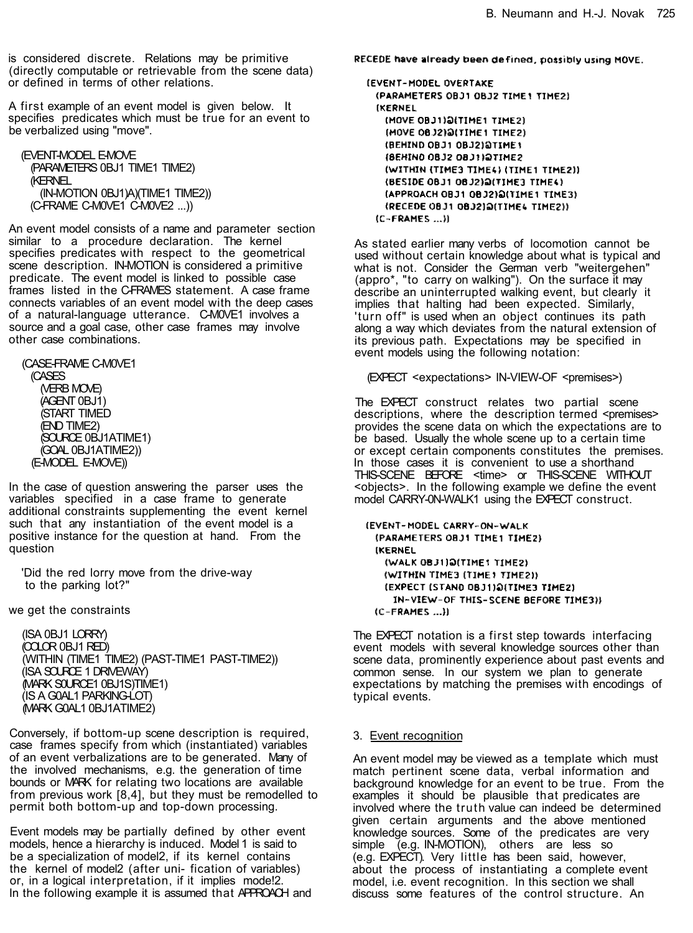is considered discrete. Relations may be primitive (directly computable or retrievable from the scene data) or defined in terms of other relations.

A first example of an event model is given below. It specifies predicates which must be true for an event to be verbalized using "move".

(EVENT-MODEL E-MOVE (PARAMETERS 0BJ1 TIME1 TIME2) (KERNEL (IN-MOTION 0BJ1)A)(TIME1 TIME2)) (C-FRAME C-M0VE1 C-M0VE2 ...))

An event model consists of a name and parameter section similar to a procedure declaration. The kernel specifies predicates with respect to the geometrical scene description. IN-MOTION is considered a primitive predicate. The event model is linked to possible case frames listed in the C-FRAMES statement. A case frame connects variables of an event model with the deep cases of a natural-language utterance. C-M0VE1 involves a source and a goal case, other case frames may involve other case combinations.

(CASE-FRAME C-M0VE1 (CASES (VERB MOVE) (AGENT 0BJ1) (START TIMED (END TIME2) (SOURCE 0BJ1ATIME1) (GOAL 0BJ1ATIME2)) (E-MODEL E-MOVE))

In the case of question answering the parser uses the variables specified in a case frame to generate additional constraints supplementing the event kernel such that any instantiation of the event model is a positive instance for the question at hand. From the question

'Did the red lorry move from the drive-way to the parking lot?"

we get the constraints

(ISA 0BJ1 LORRY) (COLOR 0BJ1 RED) (WITHIN (TIME1 TIME2) (PAST-TIME1 PAST-TIME2)) (ISA SOURCE 1 DRIVEWAY) (MARK S0URCE1 0BJ1S)TIME1) (IS A G0AL1 PARKING-LOT) (MARK G0AL1 0BJ1ATIME2)

Conversely, if bottom-up scene description is required, case frames specify from which (instantiated) variables of an event verbalizations are to be generated. Many of the involved mechanisms, e.g. the generation of time bounds or MARK for relating two locations are available from previous work [8,4], but they must be remodelled to permit both bottom-up and top-down processing.

Event models may be partially defined by other event models, hence a hierarchy is induced. Model 1 is said to be a specialization of model2, if its kernel contains the kernel of model2 (after uni- fication of variables) or, in a logical interpretation, if it implies mode!2. In the following example it is assumed that APPROACH and RECEDE have already been defined, possibly using MOVE.

**IEVENT-MODEL OVERTAKE** (PARAMETERS OBJ1 0BJ2 TIME1 TIME2) **IKERNEL** (MOVE OBJ1) SITIME1 TIME2) (MOVE 08.12) @(TIME1 TIME2) (BEHIND OBJ1 OBJ2) STIME 1 **(BEHIND OBJ2 OBJ3)@TIME2** (WITHIN (TIME3 TIME4) (TIME1 TIME2)) (BESIDE 08J1 08J2) Q(TIME3 TIME4) (APPROACH OBJ1 OBJ2) Q(TIME1 TIME3) (RECEDE 0831 0832)@(TIME4 TIME2))  $(C-FRAMES ...)$ 

As stated earlier many verbs of locomotion cannot be used without certain knowledge about what is typical and what is not. Consider the German verb "weitergehen" (appro\*, "to carry on walking"). On the surface it may describe an uninterrupted walking event, but clearly it implies that halting had been expected. Similarly, 'turn off" is used when an object continues its path along a way which deviates from the natural extension of its previous path. Expectations may be specified in event models using the following notation:

(EXPECT <expectations> IN-VIEW-OF <premises>)

The EXPECT construct relates two partial scene descriptions, where the description termed <premises> provides the scene data on which the expectations are to be based. Usually the whole scene up to a certain time or except certain components constitutes the premises. In those cases it is convenient to use a shorthand THIS-SCENE BEFORE <time> or THIS-SCENE WITHOUT <objects>. In the following example we define the event model CARRY-0N-WALK1 using the EXPECT construct.

(EVENT-MODEL CARRY-ON-WALK (PARAMETERS OBJ1 TIME1 TIME2) **IKERNEL** (WALK 0831) DITIME1 TIME2) (WITHIN TIME3 (TIME) TIME2)) (EXPECT (STAND 08J1)@(TIME3 TIME2) IN-VIEW-OF THIS-SCENE BEFORE TIME3))  $(C-FRAMES ...)$ 

The EXPECT notation is a first step towards interfacing event models with several knowledge sources other than scene data, prominently experience about past events and common sense. In our system we plan to generate expectations by matching the premises with encodings of typical events.

### 3. Event recognition

An event model may be viewed as a template which must match pertinent scene data, verbal information and background knowledge for an event to be true. From the examples it should be plausible that predicates are involved where the truth value can indeed be determined given certain arguments and the above mentioned knowledge sources. Some of the predicates are very simple (e.g. IN-MOTION), others are less so (e.g. EXPECT). Very little has been said, however, about the process of instantiating a complete event model, i.e. event recognition. In this section we shall discuss some features of the control structure. An